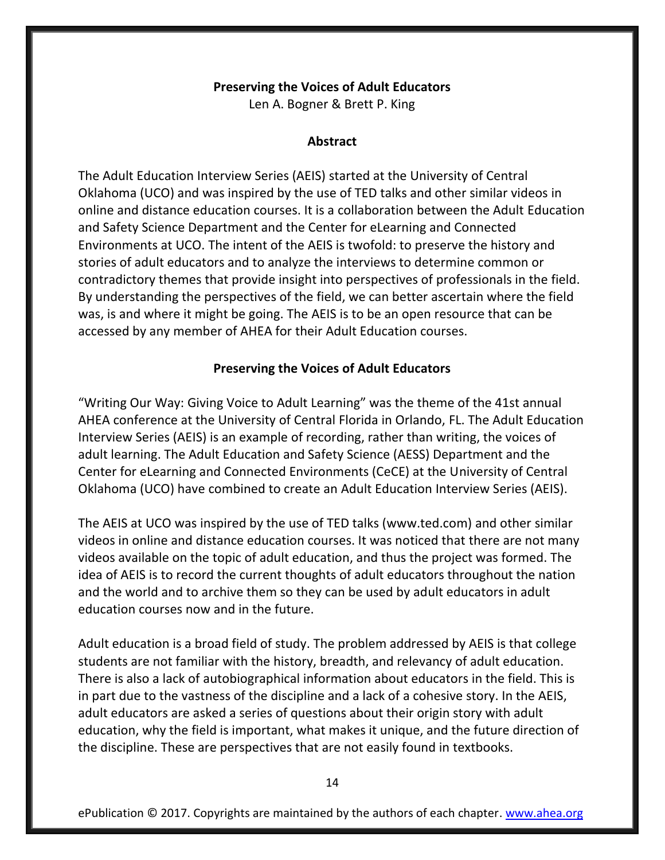### **Preserving the Voices of Adult Educators**

Len A. Bogner & Brett P. King

### **Abstract**

The Adult Education Interview Series (AEIS) started at the University of Central Oklahoma (UCO) and was inspired by the use of TED talks and other similar videos in online and distance education courses. It is a collaboration between the Adult Education and Safety Science Department and the Center for eLearning and Connected Environments at UCO. The intent of the AEIS is twofold: to preserve the history and stories of adult educators and to analyze the interviews to determine common or contradictory themes that provide insight into perspectives of professionals in the field. By understanding the perspectives of the field, we can better ascertain where the field was, is and where it might be going. The AEIS is to be an open resource that can be accessed by any member of AHEA for their Adult Education courses.

### **Preserving the Voices of Adult Educators**

"Writing Our Way: Giving Voice to Adult Learning" was the theme of the 41st annual AHEA conference at the University of Central Florida in Orlando, FL. The Adult Education Interview Series (AEIS) is an example of recording, rather than writing, the voices of adult learning. The Adult Education and Safety Science (AESS) Department and the Center for eLearning and Connected Environments (CeCE) at the University of Central Oklahoma (UCO) have combined to create an Adult Education Interview Series (AEIS).

The AEIS at UCO was inspired by the use of TED talks (www.ted.com) and other similar videos in online and distance education courses. It was noticed that there are not many videos available on the topic of adult education, and thus the project was formed. The idea of AEIS is to record the current thoughts of adult educators throughout the nation and the world and to archive them so they can be used by adult educators in adult education courses now and in the future.

Adult education is a broad field of study. The problem addressed by AEIS is that college students are not familiar with the history, breadth, and relevancy of adult education. There is also a lack of autobiographical information about educators in the field. This is in part due to the vastness of the discipline and a lack of a cohesive story. In the AEIS, adult educators are asked a series of questions about their origin story with adult education, why the field is important, what makes it unique, and the future direction of the discipline. These are perspectives that are not easily found in textbooks.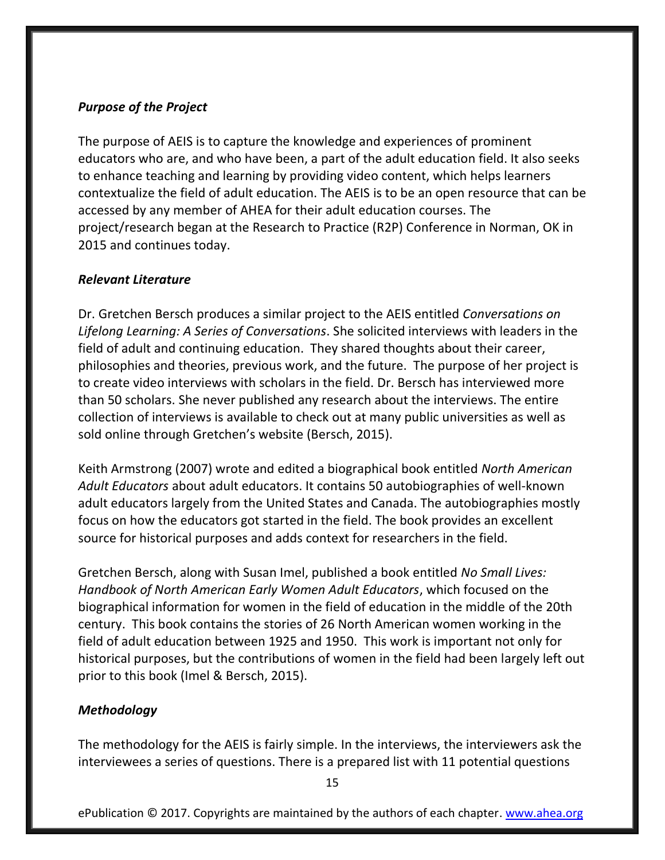## *Purpose of the Project*

The purpose of AEIS is to capture the knowledge and experiences of prominent educators who are, and who have been, a part of the adult education field. It also seeks to enhance teaching and learning by providing video content, which helps learners contextualize the field of adult education. The AEIS is to be an open resource that can be accessed by any member of AHEA for their adult education courses. The project/research began at the Research to Practice (R2P) Conference in Norman, OK in 2015 and continues today.

# *Relevant Literature*

Dr. Gretchen Bersch produces a similar project to the AEIS entitled *Conversations on Lifelong Learning: A Series of Conversations*. She solicited interviews with leaders in the field of adult and continuing education. They shared thoughts about their career, philosophies and theories, previous work, and the future. The purpose of her project is to create video interviews with scholars in the field. Dr. Bersch has interviewed more than 50 scholars. She never published any research about the interviews. The entire collection of interviews is available to check out at many public universities as well as sold online through Gretchen's website (Bersch, 2015).

Keith Armstrong (2007) wrote and edited a biographical book entitled *North American Adult Educators* about adult educators. It contains 50 autobiographies of well-known adult educators largely from the United States and Canada. The autobiographies mostly focus on how the educators got started in the field. The book provides an excellent source for historical purposes and adds context for researchers in the field.

Gretchen Bersch, along with Susan Imel, published a book entitled *No Small Lives: Handbook of North American Early Women Adult Educators*, which focused on the biographical information for women in the field of education in the middle of the 20th century. This book contains the stories of 26 North American women working in the field of adult education between 1925 and 1950. This work is important not only for historical purposes, but the contributions of women in the field had been largely left out prior to this book (Imel & Bersch, 2015).

# *Methodology*

The methodology for the AEIS is fairly simple. In the interviews, the interviewers ask the interviewees a series of questions. There is a prepared list with 11 potential questions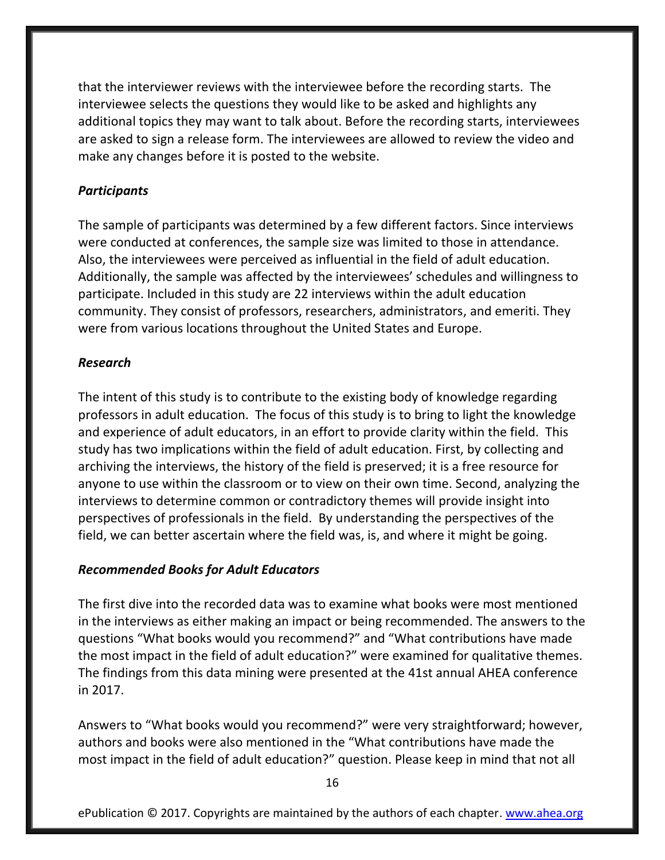that the interviewer reviews with the interviewee before the recording starts. The interviewee selects the questions they would like to be asked and highlights any additional topics they may want to talk about. Before the recording starts, interviewees are asked to sign a release form. The interviewees are allowed to review the video and make any changes before it is posted to the website.

### *Participants*

The sample of participants was determined by a few different factors. Since interviews were conducted at conferences, the sample size was limited to those in attendance. Also, the interviewees were perceived as influential in the field of adult education. Additionally, the sample was affected by the interviewees' schedules and willingness to participate. Included in this study are 22 interviews within the adult education community. They consist of professors, researchers, administrators, and emeriti. They were from various locations throughout the United States and Europe.

#### *Research*

The intent of this study is to contribute to the existing body of knowledge regarding professors in adult education. The focus of this study is to bring to light the knowledge and experience of adult educators, in an effort to provide clarity within the field. This study has two implications within the field of adult education. First, by collecting and archiving the interviews, the history of the field is preserved; it is a free resource for anyone to use within the classroom or to view on their own time. Second, analyzing the interviews to determine common or contradictory themes will provide insight into perspectives of professionals in the field. By understanding the perspectives of the field, we can better ascertain where the field was, is, and where it might be going.

#### *Recommended Books for Adult Educators*

The first dive into the recorded data was to examine what books were most mentioned in the interviews as either making an impact or being recommended. The answers to the questions "What books would you recommend?" and "What contributions have made the most impact in the field of adult education?" were examined for qualitative themes. The findings from this data mining were presented at the 41st annual AHEA conference in 2017.

Answers to "What books would you recommend?" were very straightforward; however, authors and books were also mentioned in the "What contributions have made the most impact in the field of adult education?" question. Please keep in mind that not all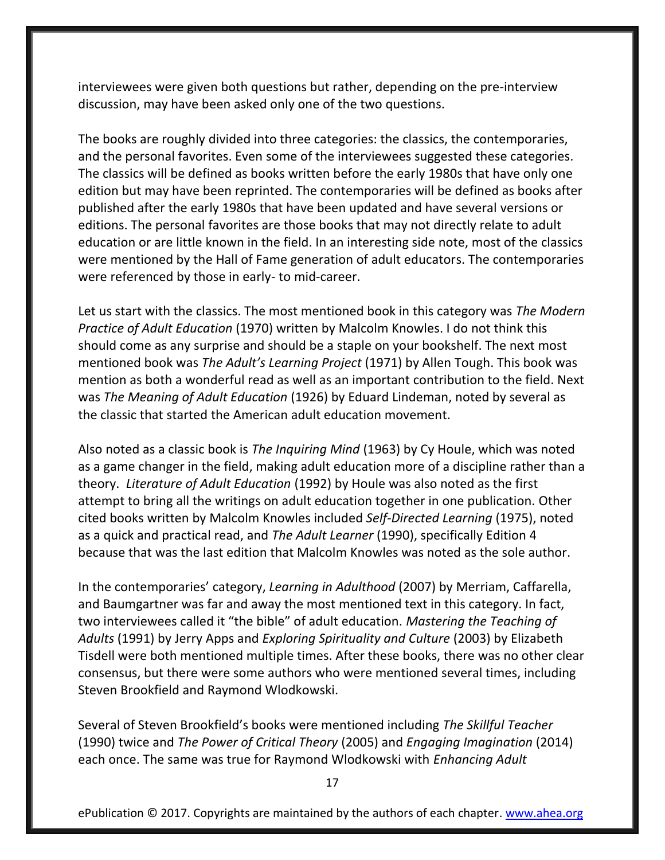interviewees were given both questions but rather, depending on the pre-interview discussion, may have been asked only one of the two questions.

The books are roughly divided into three categories: the classics, the contemporaries, and the personal favorites. Even some of the interviewees suggested these categories. The classics will be defined as books written before the early 1980s that have only one edition but may have been reprinted. The contemporaries will be defined as books after published after the early 1980s that have been updated and have several versions or editions. The personal favorites are those books that may not directly relate to adult education or are little known in the field. In an interesting side note, most of the classics were mentioned by the Hall of Fame generation of adult educators. The contemporaries were referenced by those in early- to mid-career.

Let us start with the classics. The most mentioned book in this category was *The Modern Practice of Adult Education* (1970) written by Malcolm Knowles. I do not think this should come as any surprise and should be a staple on your bookshelf. The next most mentioned book was *The Adult's Learning Project* (1971) by Allen Tough. This book was mention as both a wonderful read as well as an important contribution to the field. Next was *The Meaning of Adult Education* (1926) by Eduard Lindeman, noted by several as the classic that started the American adult education movement.

Also noted as a classic book is *The Inquiring Mind* (1963) by Cy Houle, which was noted as a game changer in the field, making adult education more of a discipline rather than a theory. *Literature of Adult Education* (1992) by Houle was also noted as the first attempt to bring all the writings on adult education together in one publication. Other cited books written by Malcolm Knowles included *Self-Directed Learning* (1975), noted as a quick and practical read, and *The Adult Learner* (1990), specifically Edition 4 because that was the last edition that Malcolm Knowles was noted as the sole author.

In the contemporaries' category, *Learning in Adulthood* (2007) by Merriam, Caffarella, and Baumgartner was far and away the most mentioned text in this category. In fact, two interviewees called it "the bible" of adult education. *Mastering the Teaching of Adults* (1991) by Jerry Apps and *Exploring Spirituality and Culture* (2003) by Elizabeth Tisdell were both mentioned multiple times. After these books, there was no other clear consensus, but there were some authors who were mentioned several times, including Steven Brookfield and Raymond Wlodkowski.

Several of Steven Brookfield's books were mentioned including *The Skillful Teacher* (1990) twice and *The Power of Critical Theory* (2005) and *Engaging Imagination* (2014) each once. The same was true for Raymond Wlodkowski with *Enhancing Adult*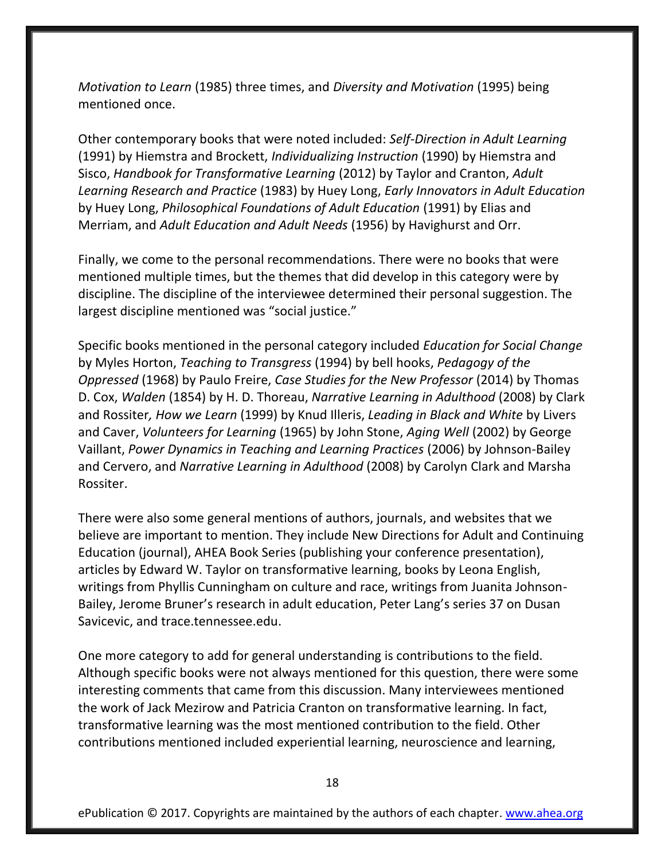*Motivation to Learn* (1985) three times, and *Diversity and Motivation* (1995) being mentioned once.

Other contemporary books that were noted included: *Self-Direction in Adult Learning* (1991) by Hiemstra and Brockett, *Individualizing Instruction* (1990) by Hiemstra and Sisco, *Handbook for Transformative Learning* (2012) by Taylor and Cranton, *Adult Learning Research and Practice* (1983) by Huey Long, *Early Innovators in Adult Education* by Huey Long, *Philosophical Foundations of Adult Education* (1991) by Elias and Merriam, and *Adult Education and Adult Needs* (1956) by Havighurst and Orr.

Finally, we come to the personal recommendations. There were no books that were mentioned multiple times, but the themes that did develop in this category were by discipline. The discipline of the interviewee determined their personal suggestion. The largest discipline mentioned was "social justice."

Specific books mentioned in the personal category included *Education for Social Change* by Myles Horton, *Teaching to Transgress* (1994) by bell hooks, *Pedagogy of the Oppressed* (1968) by Paulo Freire, *Case Studies for the New Professor* (2014) by Thomas D. Cox, *Walden* (1854) by H. D. Thoreau, *Narrative Learning in Adulthood* (2008) by Clark and Rossiter*, How we Learn* (1999) by Knud Illeris, *Leading in Black and White* by Livers and Caver, *Volunteers for Learning* (1965) by John Stone, *Aging Well* (2002) by George Vaillant, *Power Dynamics in Teaching and Learning Practices* (2006) by Johnson-Bailey and Cervero, and *Narrative Learning in Adulthood* (2008) by Carolyn Clark and Marsha Rossiter.

There were also some general mentions of authors, journals, and websites that we believe are important to mention. They include New Directions for Adult and Continuing Education (journal), AHEA Book Series (publishing your conference presentation), articles by Edward W. Taylor on transformative learning, books by Leona English, writings from Phyllis Cunningham on culture and race, writings from Juanita Johnson-Bailey, Jerome Bruner's research in adult education, Peter Lang's series 37 on Dusan Savicevic, and trace.tennessee.edu.

One more category to add for general understanding is contributions to the field. Although specific books were not always mentioned for this question, there were some interesting comments that came from this discussion. Many interviewees mentioned the work of Jack Mezirow and Patricia Cranton on transformative learning. In fact, transformative learning was the most mentioned contribution to the field. Other contributions mentioned included experiential learning, neuroscience and learning,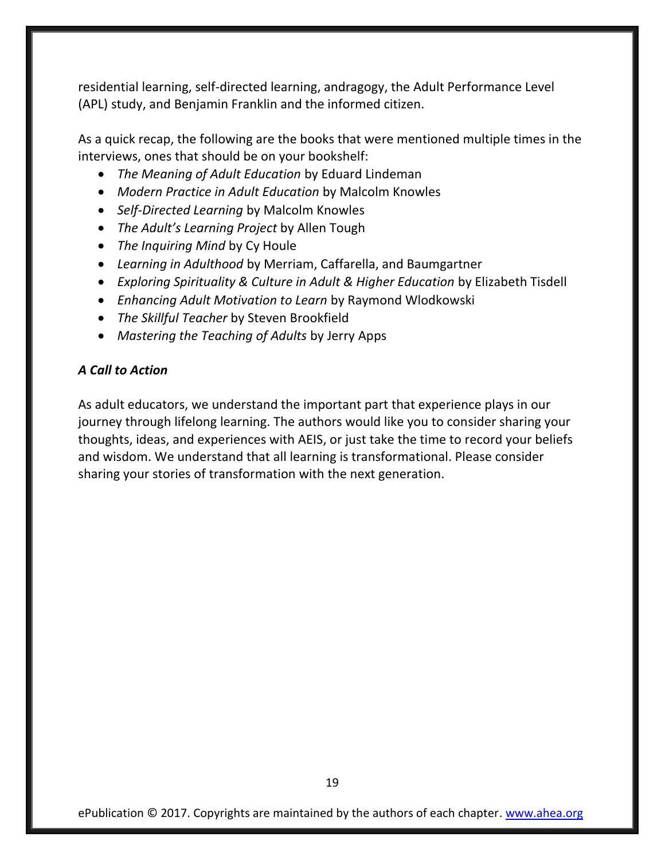residential learning, self-directed learning, andragogy, the Adult Performance Level (APL) study, and Benjamin Franklin and the informed citizen.

As a quick recap, the following are the books that were mentioned multiple times in the interviews, ones that should be on your bookshelf:

- *The Meaning of Adult Education* by Eduard Lindeman
- *Modern Practice in Adult Education* by Malcolm Knowles
- *Self-Directed Learning* by Malcolm Knowles
- *The Adult's Learning Project* by Allen Tough
- *The Inquiring Mind* by Cy Houle
- *Learning in Adulthood* by Merriam, Caffarella, and Baumgartner
- *Exploring Spirituality & Culture in Adult & Higher Education* by Elizabeth Tisdell
- *Enhancing Adult Motivation to Learn* by Raymond Wlodkowski
- *The Skillful Teacher* by Steven Brookfield
- *Mastering the Teaching of Adults* by Jerry Apps

## *A Call to Action*

As adult educators, we understand the important part that experience plays in our journey through lifelong learning. The authors would like you to consider sharing your thoughts, ideas, and experiences with AEIS, or just take the time to record your beliefs and wisdom. We understand that all learning is transformational. Please consider sharing your stories of transformation with the next generation.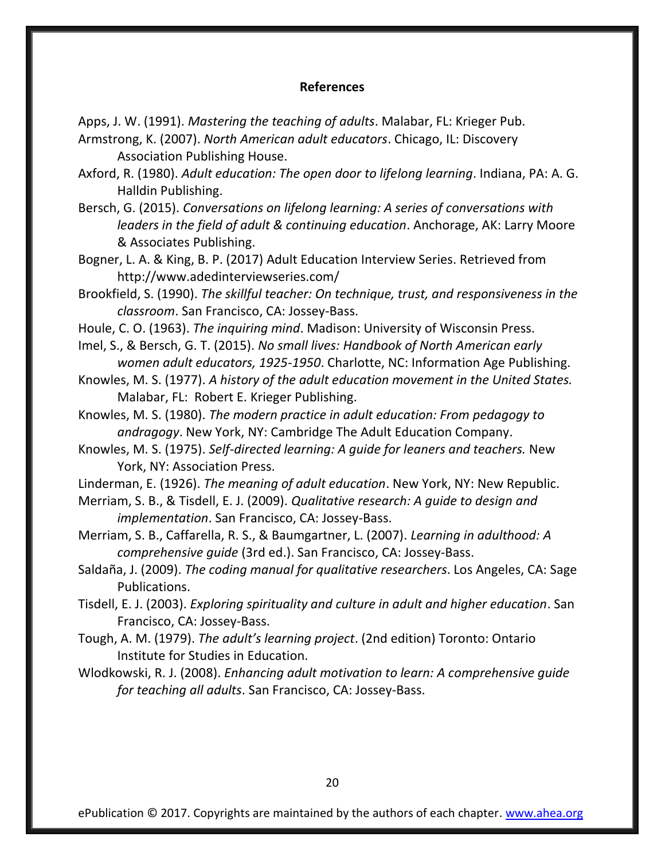#### **References**

- Apps, J. W. (1991). *Mastering the teaching of adults*. Malabar, FL: Krieger Pub. Armstrong, K. (2007). *North American adult educators*. Chicago, IL: Discovery Association Publishing House.
- Axford, R. (1980). *Adult education: The open door to lifelong learning*. Indiana, PA: A. G. Halldin Publishing.
- Bersch, G. (2015). *Conversations on lifelong learning: A series of conversations with leaders in the field of adult & continuing education*. Anchorage, AK: Larry Moore & Associates Publishing.
- Bogner, L. A. & King, B. P. (2017) Adult Education Interview Series. Retrieved from <http://www.adedinterviewseries.com/>
- Brookfield, S. (1990). *The skillful teacher: On technique, trust, and responsiveness in the classroom*. San Francisco, CA: Jossey-Bass.
- Houle, C. O. (1963). *The inquiring mind*. Madison: University of Wisconsin Press.
- Imel, S., & Bersch, G. T. (2015). *No small lives: Handbook of North American early women adult educators, 1925-1950*. Charlotte, NC: Information Age Publishing.
- Knowles, M. S. (1977). *A history of the adult education movement in the United States.*  Malabar, FL: Robert E. Krieger Publishing.
- Knowles, M. S. (1980). *The modern practice in adult education: From pedagogy to andragogy*. New York, NY: Cambridge The Adult Education Company.
- Knowles, M. S. (1975). *Self-directed learning: A guide for leaners and teachers.* New York, NY: Association Press.
- Linderman, E. (1926). *The meaning of adult education*. New York, NY: New Republic.
- Merriam, S. B., & Tisdell, E. J. (2009). *Qualitative research: A guide to design and implementation*. San Francisco, CA: Jossey-Bass.
- Merriam, S. B., Caffarella, R. S., & Baumgartner, L. (2007). *Learning in adulthood: A comprehensive guide* (3rd ed.). San Francisco, CA: Jossey-Bass.
- Saldaña, J. (2009). *The coding manual for qualitative researchers*. Los Angeles, CA: Sage Publications.
- Tisdell, E. J. (2003). *Exploring spirituality and culture in adult and higher education*. San Francisco, CA: Jossey-Bass.
- Tough, A. M. (1979). *The adult's learning project*. (2nd edition) Toronto: Ontario Institute for Studies in Education.
- Wlodkowski, R. J. (2008). *Enhancing adult motivation to learn: A comprehensive guide for teaching all adults*. San Francisco, CA: Jossey-Bass.